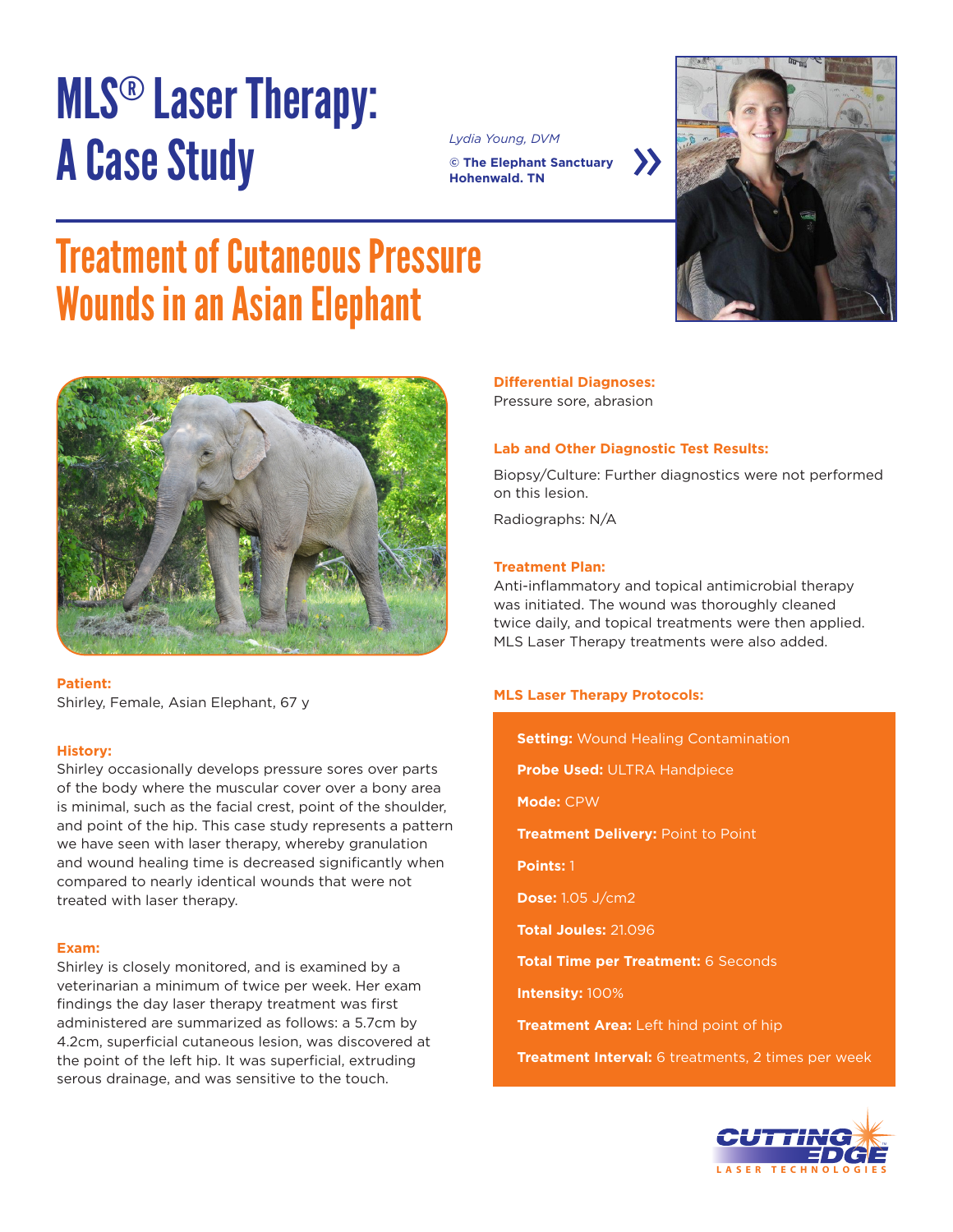## MLS® Laser Therapy: A Case Study

*Lydia Young, DVM* **© The Elephant Sanctuary Hohenwald. TN**





### Treatment of Cutaneous Pressure Wounds in an Asian Elephant



**Patient:** Shirley, Female, Asian Elephant, 67 y

#### **History:**

Shirley occasionally develops pressure sores over parts of the body where the muscular cover over a bony area is minimal, such as the facial crest, point of the shoulder, and point of the hip. This case study represents a pattern we have seen with laser therapy, whereby granulation and wound healing time is decreased significantly when compared to nearly identical wounds that were not treated with laser therapy.

#### **Exam:**

Shirley is closely monitored, and is examined by a veterinarian a minimum of twice per week. Her exam findings the day laser therapy treatment was first administered are summarized as follows: a 5.7cm by 4.2cm, superficial cutaneous lesion, was discovered at the point of the left hip. It was superficial, extruding serous drainage, and was sensitive to the touch.

### **Differential Diagnoses:**

Pressure sore, abrasion

#### **Lab and Other Diagnostic Test Results:**

Biopsy/Culture: Further diagnostics were not performed on this lesion.

Radiographs: N/A

#### **Treatment Plan:**

Anti-inflammatory and topical antimicrobial therapy was initiated. The wound was thoroughly cleaned twice daily, and topical treatments were then applied. MLS Laser Therapy treatments were also added.

#### **MLS Laser Therapy Protocols:**

**Setting:** Wound Healing Contamination **Probe Used:** ULTRA Handpiece **Mode:** CPW **Treatment Delivery:** Point to Point **Points:** 1 **Dose:** 1.05 J/cm2 **Total Joules:** 21.096 **Total Time per Treatment:** 6 Seconds **Intensity:** 100% **Treatment Area:** Left hind point of hip **Treatment Interval:** 6 treatments, 2 times per week